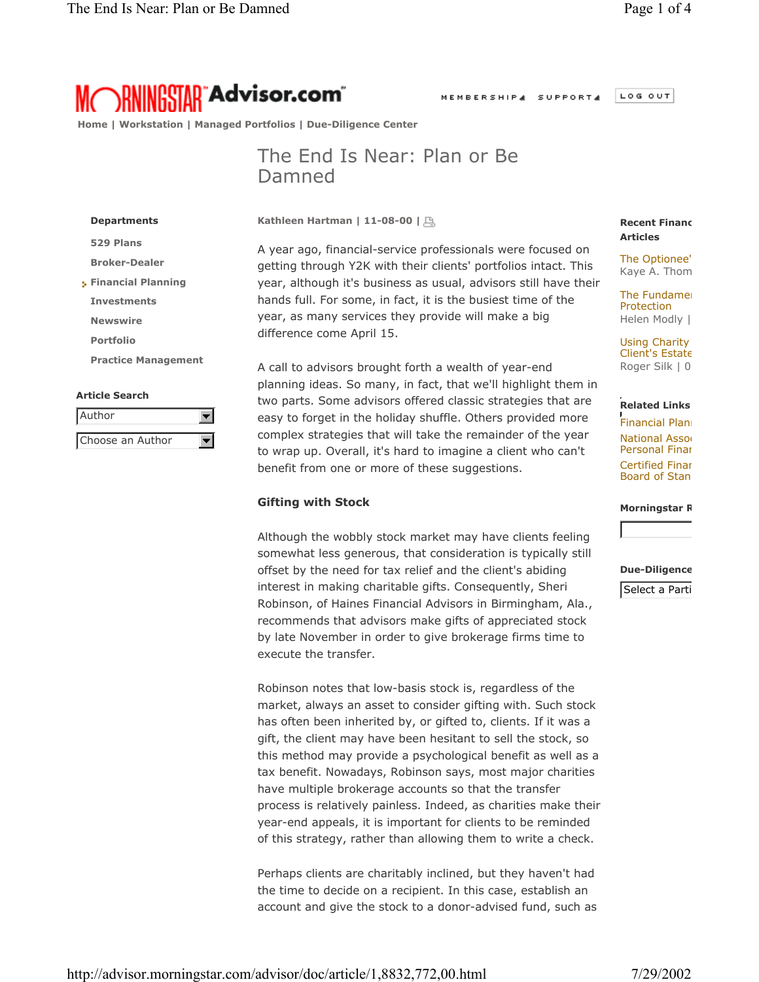LOG OUT MEMBERSHIP4 SUPPORT4



 **Home | Workstation | Managed Portfolios | Due-Diligence Center**

## The End Is Near: Plan or Be Damned

**Kathleen Hartman | 11-08-00 |** 

**Departments 529 Plans Broker-Dealer Financial Planning Investments Newswire Portfolio Practice Management**

#### **Article Search**

| l Author         |  |
|------------------|--|
| Choose an Author |  |

A year ago, financial-service professionals were focused on getting through Y2K with their clients' portfolios intact. This year, although it's business as usual, advisors still have their hands full. For some, in fact, it is the busiest time of the year, as many services they provide will make a big difference come April 15.

benefit from one or more of these suggestions.<br>**Gifting with Stock** A call to advisors brought forth a wealth of year-end planning ideas. So many, in fact, that we'll highlight them in two parts. Some advisors offered classic strategies that are easy to forget in the holiday shuffle. Others provided more complex strategies that will take the remainder of the year to wrap up. Overall, it's hard to imagine a client who can't

### -**Gifting with Stock**

Although the wobbly stock market may have clients feeling somewhat less generous, that consideration is typically still offset by the need for tax relief and the client's abiding interest in making charitable gifts. Consequently, Sheri Robinson, of Haines Financial Advisors in Birmingham, Ala., recommends that advisors make gifts of appreciated stock by late November in order to give brokerage firms time to execute the transfer.

Robinson notes that low-basis stock is, regardless of the market, always an asset to consider gifting with. Such stock has often been inherited by, or gifted to, clients. If it was a gift, the client may have been hesitant to sell the stock, so this method may provide a psychological benefit as well as a tax benefit. Nowadays, Robinson says, most major charities have multiple brokerage accounts so that the transfer process is relatively painless. Indeed, as charities make their year-end appeals, it is important for clients to be reminded of this strategy, rather than allowing them to write a check.

Perhaps clients are charitably inclined, but they haven't had the time to decide on a recipient. In this case, establish an account and give the stock to a donor-advised fund, such as

#### **Recent Financ Articles**

The Optionee' Kaye A. Thom

**The Fundamen** Protection Helen Modly |

Using Charity Client's Estate Roger Silk | 0

#### **Related Links**

**Financial Plann National Assoc** Personal Finan Certified Finan Board of Stan

**Morningstar R**

#### **Due-Diligence**

Select a Parti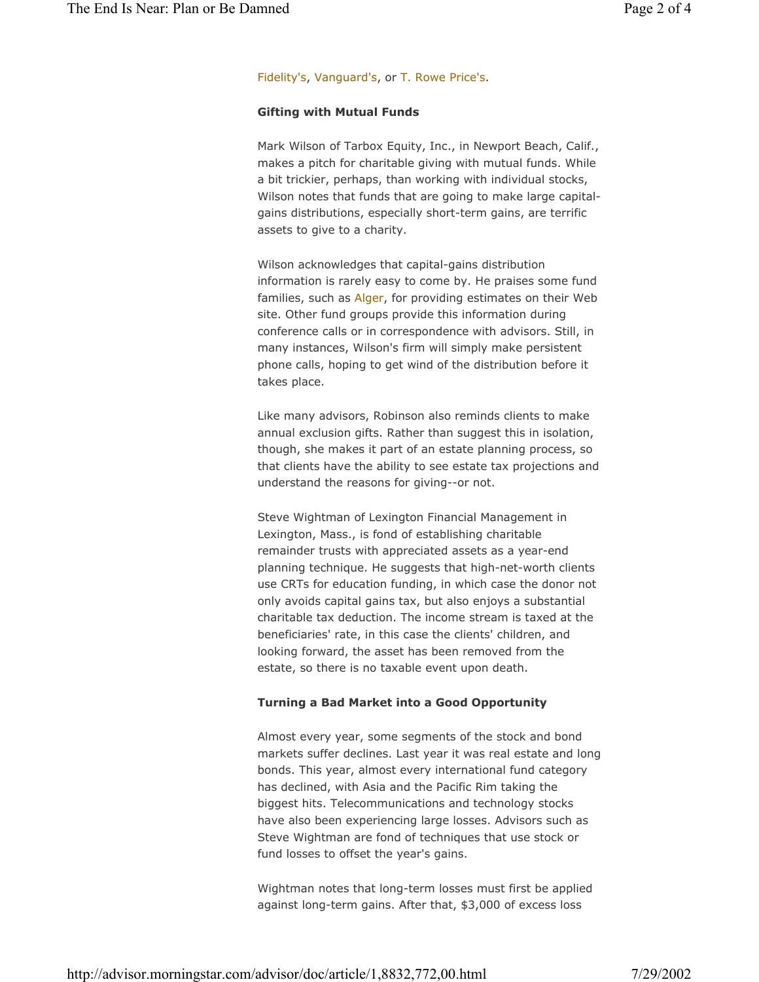#### Fidelity's, Vanguard's, or T. Rowe Price's.

#### **Gifting with Mutual Funds**

Mark Wilson of Tarbox Equity, Inc., in Newport Beach, Calif., makes a pitch for charitable giving with mutual funds. While a bit trickier, perhaps, than working with individual stocks, Wilson notes that funds that are going to make large capitalgains distributions, especially short-term gains, are terrific assets to give to a charity.

Wilson acknowledges that capital-gains distribution information is rarely easy to come by. He praises some fund families, such as Alger, for providing estimates on their Web site. Other fund groups provide this information during conference calls or in correspondence with advisors. Still, in many instances, Wilson's firm will simply make persistent phone calls, hoping to get wind of the distribution before it takes place.

 understand the reasons for giving--or not. Like many advisors, Robinson also reminds clients to make annual exclusion gifts. Rather than suggest this in isolation, though, she makes it part of an estate planning process, so that clients have the ability to see estate tax projections and

-Steve Wightman of Lexington Financial Management in Lexington, Mass., is fond of establishing charitable remainder trusts with appreciated assets as a year-end planning technique. He suggests that high-net-worth clients use CRTs for education funding, in which case the donor not only avoids capital gains tax, but also enjoys a substantial charitable tax deduction. The income stream is taxed at the beneficiaries' rate, in this case the clients' children, and looking forward, the asset has been removed from the estate, so there is no taxable event upon death.

#### **Turning a Bad Market into a Good Opportunity**

Almost every year, some segments of the stock and bond markets suffer declines. Last year it was real estate and long bonds. This year, almost every international fund category has declined, with Asia and the Pacific Rim taking the biggest hits. Telecommunications and technology stocks have also been experiencing large losses. Advisors such as Steve Wightman are fond of techniques that use stock or fund losses to offset the year's gains.

Wightman notes that long-term losses must first be applied against long-term gains. After that, \$3,000 of excess loss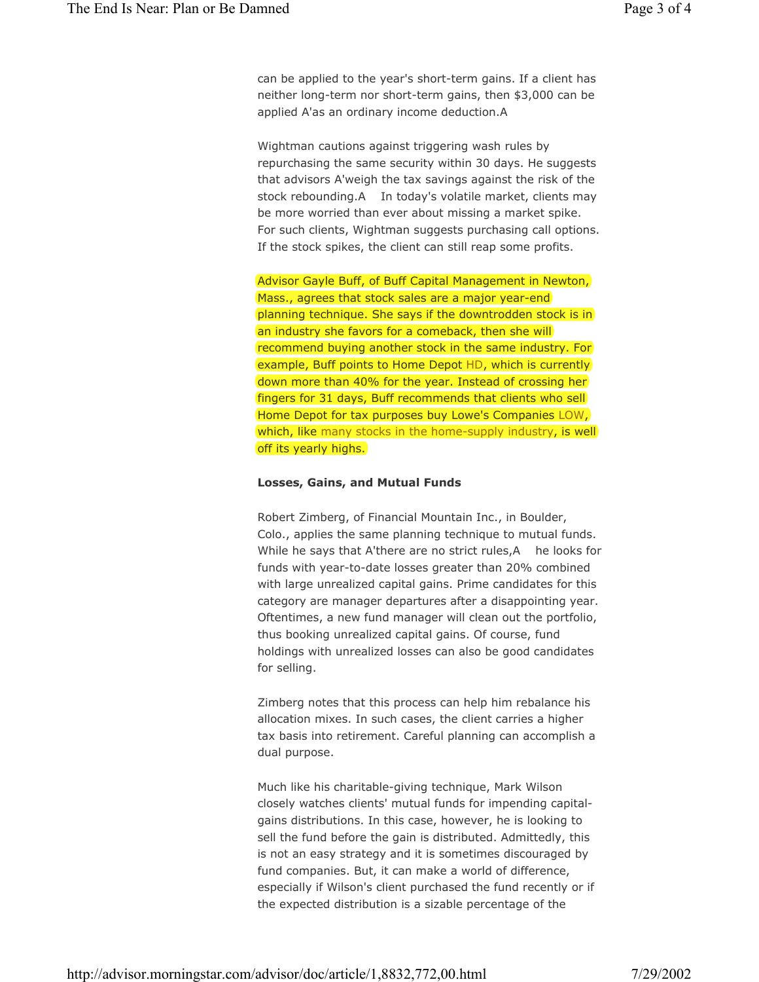can be applied to the year's short-term gains. If a client has neither long-term nor short-term gains, then \$3,000 can be applied A'as an ordinary income deduction.A

Wightman cautions against triggering wash rules by repurchasing the same security within 30 days. He suggests that advisors A'weigh the tax savings against the risk of the stock rebounding.A In today's volatile market, clients may be more worried than ever about missing a market spike. For such clients, Wightman suggests purchasing call options. If the stock spikes, the client can still reap some profits.

Advisor Gayle Buff, of Buff Capital Management in Newton, Mass., agrees that stock sales are a major year-end planning technique. She says if the downtrodden stock is in an industry she favors for a comeback, then she will recommend buying another stock in the same industry. For example, Buff points to Home Depot HD, which is currently down more than 40% for the year. Instead of crossing her fingers for 31 days, Buff recommends that clients who sell Home Depot for tax purposes buy Lowe's Companies LOW, which, like many stocks in the home-supply industry, is well off its yearly highs.

# **Losses, Gains, and Mutual Funds**

-Robert Zimberg, of Financial Mountain Inc., in Boulder, Colo., applies the same planning technique to mutual funds. While he says that A'there are no strict rules, A he looks for funds with year-to-date losses greater than 20% combined with large unrealized capital gains. Prime candidates for this category are manager departures after a disappointing year. Oftentimes, a new fund manager will clean out the portfolio, thus booking unrealized capital gains. Of course, fund holdings with unrealized losses can also be good candidates for selling.

Zimberg notes that this process can help him rebalance his allocation mixes. In such cases, the client carries a higher tax basis into retirement. Careful planning can accomplish a dual purpose.

Much like his charitable-giving technique, Mark Wilson closely watches clients' mutual funds for impending capitalgains distributions. In this case, however, he is looking to sell the fund before the gain is distributed. Admittedly, this is not an easy strategy and it is sometimes discouraged by fund companies. But, it can make a world of difference, especially if Wilson's client purchased the fund recently or if the expected distribution is a sizable percentage of the